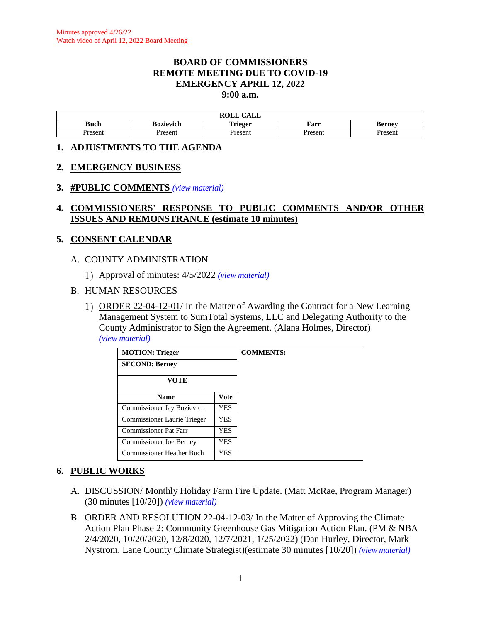#### **BOARD OF COMMISSIONERS REMOTE MEETING DUE TO COVID-19 EMERGENCY APRIL 12, 2022 9:00 a.m.**

|                |           | C1T<br>DAT T<br>KULL<br>САЫС      |        |         |
|----------------|-----------|-----------------------------------|--------|---------|
| Buch           | Bozievich | <b>. .</b><br>`rieger<br>-------- | Farr   | Bernev  |
| <b>Present</b> | Present   | resen.                            | Presen | Jrocon. |

#### **1. ADJUSTMENTS TO THE AGENDA**

#### **2. EMERGENCY BUSINESS**

#### **3. #PUBLIC COMMENTS** *(view [material\)](http://www.lanecountyor.gov/UserFiles/Servers/Server_3585797/File/Government/BCC/2022/2022_AGENDAS/041222agenda/T.3.pdf)*

### **4. COMMISSIONERS' RESPONSE TO PUBLIC COMMENTS AND/OR OTHER ISSUES AND REMONSTRANCE (estimate 10 minutes)**

# **5. CONSENT CALENDAR**

#### A. COUNTY ADMINISTRATION

Approval of minutes: 4/5/2022 *(view [material\)](http://www.lanecountyor.gov/UserFiles/Servers/Server_3585797/File/Government/BCC/2022/2022_AGENDAS/041222agenda/T.5.A.1.pdf)*

#### B. HUMAN RESOURCES

ORDER 22-04-12-01/ In the Matter of Awarding the Contract for a New Learning Management System to SumTotal Systems, LLC and Delegating Authority to the County Administrator to Sign the Agreement. (Alana Holmes, Director) *(view [material\)](http://www.lanecountyor.gov/UserFiles/Servers/Server_3585797/File/Government/BCC/2022/2022_AGENDAS/041222agenda/T.5.B.1.pdf)*

| <b>MOTION: Trieger</b>         |             | <b>COMMENTS:</b> |
|--------------------------------|-------------|------------------|
| <b>SECOND: Berney</b>          |             |                  |
| VOTE                           |             |                  |
| <b>Name</b>                    | <b>Vote</b> |                  |
| Commissioner Jay Bozievich     | YES.        |                  |
| Commissioner Laurie Trieger    | YES.        |                  |
| Commissioner Pat Farr          | YES.        |                  |
| <b>Commissioner Joe Berney</b> | YES         |                  |
| Commissioner Heather Buch      | YES.        |                  |

# **6. PUBLIC WORKS**

- A. DISCUSSION/ Monthly Holiday Farm Fire Update. (Matt McRae, Program Manager) (30 minutes [10/20]) *(view [material\)](http://www.lanecountyor.gov/UserFiles/Servers/Server_3585797/File/Government/BCC/2022/2022_AGENDAS/041222agenda/T.6.A.pdf)*
- B. ORDER AND RESOLUTION 22-04-12-03/ In the Matter of Approving the Climate Action Plan Phase 2: Community Greenhouse Gas Mitigation Action Plan. (PM & NBA 2/4/2020, 10/20/2020, 12/8/2020, 12/7/2021, 1/25/2022) (Dan Hurley, Director, Mark Nystrom, Lane County Climate Strategist)(estimate 30 minutes [10/20]) *(view [material\)](http://www.lanecountyor.gov/UserFiles/Servers/Server_3585797/File/Government/BCC/2022/2022_AGENDAS/041222agenda/T.6.B.pdf)*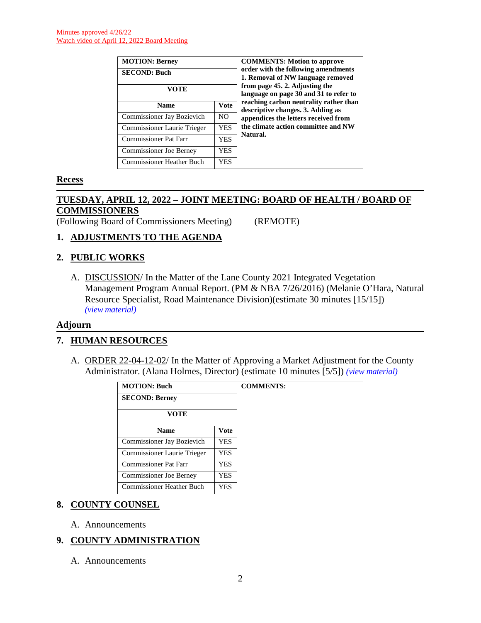| <b>MOTION: Berney</b>            |             | <b>COMMENTS: Motion to approve</b>                                          |
|----------------------------------|-------------|-----------------------------------------------------------------------------|
| <b>SECOND: Buch</b>              |             | order with the following amendments<br>1. Removal of NW language removed    |
| VOTE                             |             | from page 45. 2. Adjusting the<br>language on page 30 and 31 to refer to    |
| <b>Name</b>                      | <b>Vote</b> | reaching carbon neutrality rather than<br>descriptive changes. 3. Adding as |
| Commissioner Jay Bozievich       | NO.         | appendices the letters received from                                        |
| Commissioner Laurie Trieger      | <b>YES</b>  | the climate action committee and NW<br>Natural.                             |
| <b>Commissioner Pat Farr</b>     | YES.        |                                                                             |
| <b>Commissioner Joe Berney</b>   | YES         |                                                                             |
| <b>Commissioner Heather Buch</b> | YES         |                                                                             |

# **Recess**

# **TUESDAY, APRIL 12, 2022 – JOINT MEETING: BOARD OF HEALTH / BOARD OF COMMISSIONERS**

(Following Board of Commissioners Meeting) (REMOTE)

# **1. ADJUSTMENTS TO THE AGENDA**

# **2. PUBLIC WORKS**

A. DISCUSSION/ In the Matter of the Lane County 2021 Integrated Vegetation Management Program Annual Report. (PM & NBA 7/26/2016) (Melanie O'Hara, Natural Resource Specialist, Road Maintenance Division)(estimate 30 minutes [15/15]) *(view [material\)](http://www.lanecountyor.gov/UserFiles/Servers/Server_3585797/File/Government/BCC/2022/2022_AGENDAS/041222agenda/T.2.A.pdf)*

#### **Adjourn**

#### **7. HUMAN RESOURCES**

A. ORDER 22-04-12-02/ In the Matter of Approving a Market Adjustment for the County Administrator. (Alana Holmes, Director) (estimate 10 minutes [5/5]) *(view [material\)](http://www.lanecountyor.gov/UserFiles/Servers/Server_3585797/File/Government/BCC/2022/2022_AGENDAS/041222agenda/T.7.A.pdf)*

| <b>MOTION: Buch</b>            |            |
|--------------------------------|------------|
| <b>SECOND: Berney</b>          |            |
| VOTE                           |            |
| <b>Name</b>                    | Vote       |
| Commissioner Jay Bozievich     | <b>YES</b> |
| Commissioner Laurie Trieger    | YES.       |
| <b>Commissioner Pat Farr</b>   | YES.       |
| <b>Commissioner Joe Berney</b> | YES.       |
| Commissioner Heather Buch      | YES        |

# **8. COUNTY COUNSEL**

A. Announcements

# **9. COUNTY ADMINISTRATION**

A. Announcements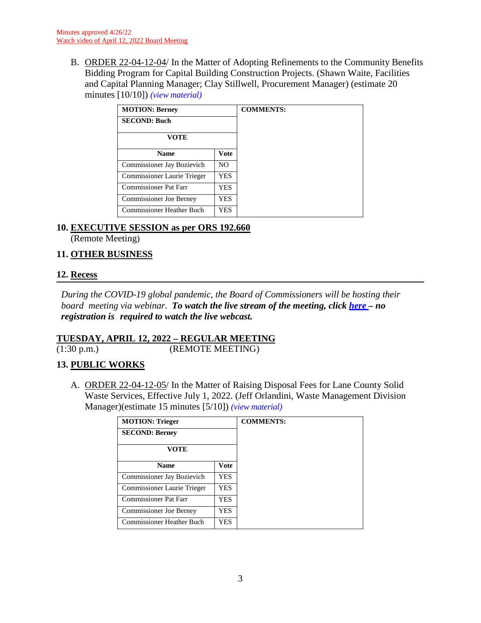B. ORDER 22-04-12-04/ In the Matter of Adopting Refinements to the Community Benefits Bidding Program for Capital Building Construction Projects. (Shawn Waite, Facilities and Capital Planning Manager; Clay Stillwell, Procurement Manager) (estimate 20 minutes [10/10]) *(view [material\)](http://www.lanecountyor.gov/UserFiles/Servers/Server_3585797/File/Government/BCC/2022/2022_AGENDAS/041222agenda/T.9.B.pdf)*

| <b>MOTION: Berney</b>          |                | <b>COMMENTS:</b> |
|--------------------------------|----------------|------------------|
| <b>SECOND: Buch</b>            |                |                  |
| <b>VOTE</b>                    |                |                  |
| <b>Name</b>                    | Vote           |                  |
| Commissioner Jay Bozievich     | N <sub>O</sub> |                  |
| Commissioner Laurie Trieger    | YES.           |                  |
| <b>Commissioner Pat Farr</b>   | YES            |                  |
| <b>Commissioner Joe Berney</b> | YES            |                  |
| Commissioner Heather Buch      | YES            |                  |

#### **10. EXECUTIVE SESSION as per ORS 192.660**  (Remote Meeting)

# **11. OTHER BUSINESS**

# **12. Recess**

*During the COVID-19 global pandemic, the Board of Commissioners will be hosting their board meeting via webinar. To watch the live stream of the meeting, click [here](https://lanecounty.org/cms/One.aspx?portalId=3585881&pageId=7842434) – no registration is required to watch the live webcast.* 

# **TUESDAY, APRIL 12, 2022 – REGULAR MEETING**

(1:30 p.m.) (REMOTE MEETING)

#### **13. PUBLIC WORKS**

A. ORDER 22-04-12-05/ In the Matter of Raising Disposal Fees for Lane County Solid Waste Services, Effective July 1, 2022. (Jeff Orlandini, Waste Management Division Manager)(estimate 15 minutes [5/10]) *(view [material\)](http://www.lanecountyor.gov/UserFiles/Servers/Server_3585797/File/Government/BCC/2022/2022_AGENDAS/041222agenda/T.13.A.pdf)*

| <b>MOTION: Trieger</b>           |             | <b>COMMENTS:</b> |
|----------------------------------|-------------|------------------|
| <b>SECOND: Berney</b>            |             |                  |
| VOTE                             |             |                  |
| <b>Name</b>                      | <b>Vote</b> |                  |
| Commissioner Jay Bozievich       | YES         |                  |
| Commissioner Laurie Trieger      | YES.        |                  |
| <b>Commissioner Pat Farr</b>     | YES         |                  |
| <b>Commissioner Joe Berney</b>   | YES         |                  |
| <b>Commissioner Heather Buch</b> | YES.        |                  |